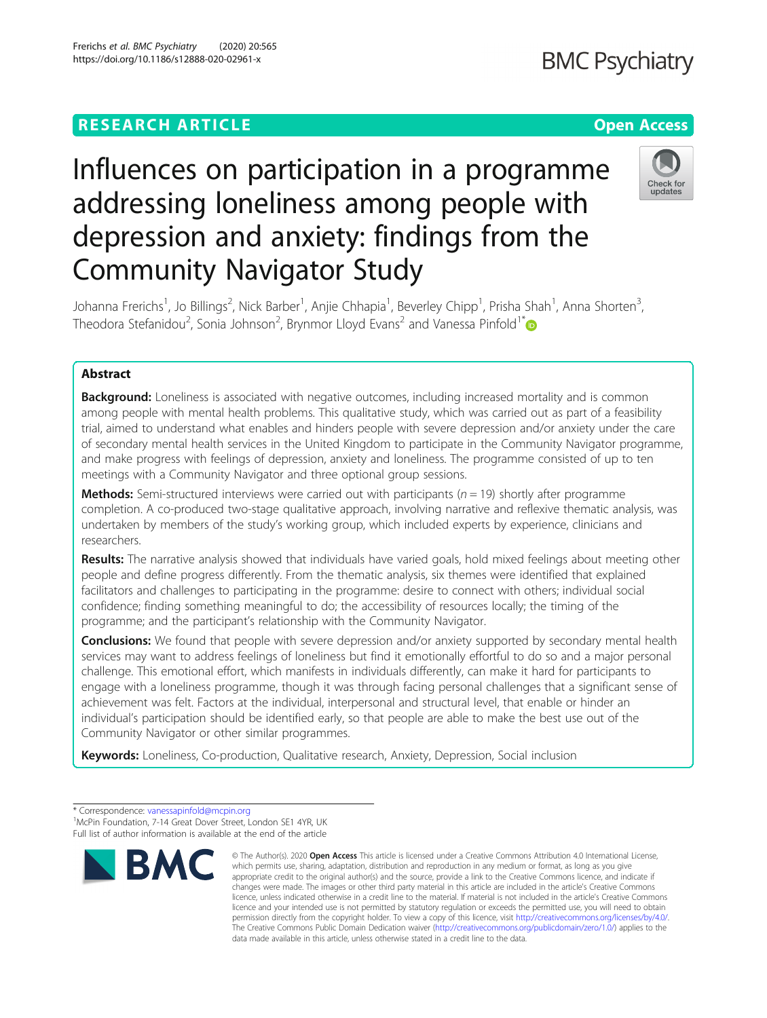## **RESEARCH ARTICLE Example 2014 12:30 The Contract of Contract ACCESS**

# Influences on participation in a programme addressing loneliness among people with depression and anxiety: findings from the Community Navigator Study



Johanna Frerichs<sup>1</sup>, Jo Billings<sup>2</sup>, Nick Barber<sup>1</sup>, Anjie Chhapia<sup>1</sup>, Beverley Chipp<sup>1</sup>, Prisha Shah<sup>1</sup>, Anna Shorten<sup>3</sup> , Theodora Stefanidou<sup>2</sup>, Sonia Johnson<sup>2</sup>, Brynmor Lloyd Evans<sup>2</sup> and Vanessa Pinfold<sup>1[\\*](http://orcid.org/0000-0003-3007-8805)</sup>

## Abstract

**Background:** Loneliness is associated with negative outcomes, including increased mortality and is common among people with mental health problems. This qualitative study, which was carried out as part of a feasibility trial, aimed to understand what enables and hinders people with severe depression and/or anxiety under the care of secondary mental health services in the United Kingdom to participate in the Community Navigator programme, and make progress with feelings of depression, anxiety and loneliness. The programme consisted of up to ten meetings with a Community Navigator and three optional group sessions.

**Methods:** Semi-structured interviews were carried out with participants ( $n = 19$ ) shortly after programme completion. A co-produced two-stage qualitative approach, involving narrative and reflexive thematic analysis, was undertaken by members of the study's working group, which included experts by experience, clinicians and researchers.

Results: The narrative analysis showed that individuals have varied goals, hold mixed feelings about meeting other people and define progress differently. From the thematic analysis, six themes were identified that explained facilitators and challenges to participating in the programme: desire to connect with others; individual social confidence; finding something meaningful to do; the accessibility of resources locally; the timing of the programme; and the participant's relationship with the Community Navigator.

**Conclusions:** We found that people with severe depression and/or anxiety supported by secondary mental health services may want to address feelings of loneliness but find it emotionally effortful to do so and a major personal challenge. This emotional effort, which manifests in individuals differently, can make it hard for participants to engage with a loneliness programme, though it was through facing personal challenges that a significant sense of achievement was felt. Factors at the individual, interpersonal and structural level, that enable or hinder an individual's participation should be identified early, so that people are able to make the best use out of the Community Navigator or other similar programmes.

Keywords: Loneliness, Co-production, Qualitative research, Anxiety, Depression, Social inclusion

<sup>\*</sup> Correspondence: [vanessapinfold@mcpin.org](mailto:vanessapinfold@mcpin.org) <sup>1</sup> <sup>1</sup>McPin Foundation, 7-14 Great Dover Street, London SE1 4YR, UK Full list of author information is available at the end of the article



<sup>©</sup> The Author(s), 2020 **Open Access** This article is licensed under a Creative Commons Attribution 4.0 International License, which permits use, sharing, adaptation, distribution and reproduction in any medium or format, as long as you give appropriate credit to the original author(s) and the source, provide a link to the Creative Commons licence, and indicate if changes were made. The images or other third party material in this article are included in the article's Creative Commons licence, unless indicated otherwise in a credit line to the material. If material is not included in the article's Creative Commons licence and your intended use is not permitted by statutory regulation or exceeds the permitted use, you will need to obtain permission directly from the copyright holder. To view a copy of this licence, visit [http://creativecommons.org/licenses/by/4.0/.](http://creativecommons.org/licenses/by/4.0/) The Creative Commons Public Domain Dedication waiver [\(http://creativecommons.org/publicdomain/zero/1.0/](http://creativecommons.org/publicdomain/zero/1.0/)) applies to the data made available in this article, unless otherwise stated in a credit line to the data.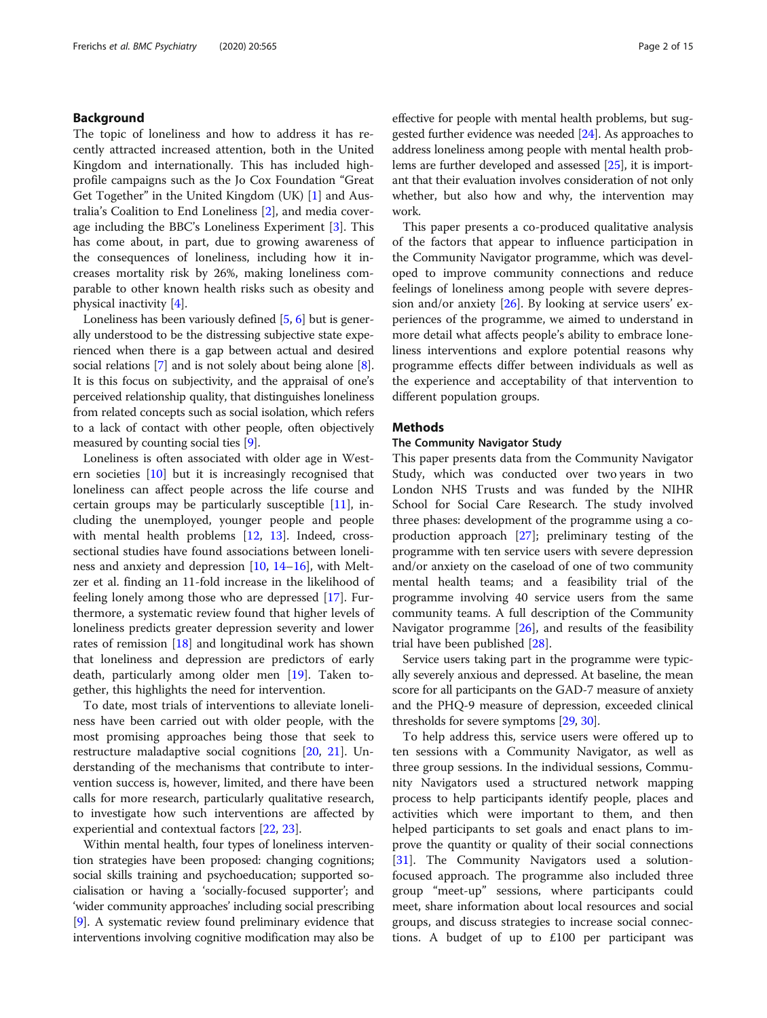## Background

The topic of loneliness and how to address it has recently attracted increased attention, both in the United Kingdom and internationally. This has included highprofile campaigns such as the Jo Cox Foundation "Great Get Together" in the United Kingdom (UK) [\[1](#page-13-0)] and Australia's Coalition to End Loneliness [\[2\]](#page-13-0), and media coverage including the BBC's Loneliness Experiment [[3\]](#page-13-0). This has come about, in part, due to growing awareness of the consequences of loneliness, including how it increases mortality risk by 26%, making loneliness comparable to other known health risks such as obesity and physical inactivity [\[4](#page-13-0)].

Loneliness has been variously defined [\[5,](#page-13-0) [6](#page-13-0)] but is generally understood to be the distressing subjective state experienced when there is a gap between actual and desired social relations [\[7](#page-13-0)] and is not solely about being alone [[8](#page-13-0)]. It is this focus on subjectivity, and the appraisal of one's perceived relationship quality, that distinguishes loneliness from related concepts such as social isolation, which refers to a lack of contact with other people, often objectively measured by counting social ties [\[9](#page-13-0)].

Loneliness is often associated with older age in Western societies [[10](#page-13-0)] but it is increasingly recognised that loneliness can affect people across the life course and certain groups may be particularly susceptible  $[11]$  $[11]$ , including the unemployed, younger people and people with mental health problems [[12,](#page-13-0) [13](#page-13-0)]. Indeed, crosssectional studies have found associations between loneliness and anxiety and depression [[10,](#page-13-0) [14](#page-13-0)–[16\]](#page-13-0), with Meltzer et al. finding an 11-fold increase in the likelihood of feeling lonely among those who are depressed [\[17](#page-13-0)]. Furthermore, a systematic review found that higher levels of loneliness predicts greater depression severity and lower rates of remission [[18](#page-13-0)] and longitudinal work has shown that loneliness and depression are predictors of early death, particularly among older men [\[19](#page-13-0)]. Taken together, this highlights the need for intervention.

To date, most trials of interventions to alleviate loneliness have been carried out with older people, with the most promising approaches being those that seek to restructure maladaptive social cognitions [[20,](#page-13-0) [21](#page-13-0)]. Understanding of the mechanisms that contribute to intervention success is, however, limited, and there have been calls for more research, particularly qualitative research, to investigate how such interventions are affected by experiential and contextual factors [\[22](#page-13-0), [23](#page-13-0)].

Within mental health, four types of loneliness intervention strategies have been proposed: changing cognitions; social skills training and psychoeducation; supported socialisation or having a 'socially-focused supporter'; and 'wider community approaches' including social prescribing [[9\]](#page-13-0). A systematic review found preliminary evidence that interventions involving cognitive modification may also be

effective for people with mental health problems, but suggested further evidence was needed [\[24\]](#page-13-0). As approaches to address loneliness among people with mental health problems are further developed and assessed [\[25\]](#page-13-0), it is important that their evaluation involves consideration of not only whether, but also how and why, the intervention may work.

This paper presents a co-produced qualitative analysis of the factors that appear to influence participation in the Community Navigator programme, which was developed to improve community connections and reduce feelings of loneliness among people with severe depression and/or anxiety [[26](#page-13-0)]. By looking at service users' experiences of the programme, we aimed to understand in more detail what affects people's ability to embrace loneliness interventions and explore potential reasons why programme effects differ between individuals as well as the experience and acceptability of that intervention to different population groups.

## Methods

## The Community Navigator Study

This paper presents data from the Community Navigator Study, which was conducted over two years in two London NHS Trusts and was funded by the NIHR School for Social Care Research. The study involved three phases: development of the programme using a coproduction approach [\[27](#page-14-0)]; preliminary testing of the programme with ten service users with severe depression and/or anxiety on the caseload of one of two community mental health teams; and a feasibility trial of the programme involving 40 service users from the same community teams. A full description of the Community Navigator programme [\[26](#page-13-0)], and results of the feasibility trial have been published [\[28](#page-14-0)].

Service users taking part in the programme were typically severely anxious and depressed. At baseline, the mean score for all participants on the GAD-7 measure of anxiety and the PHQ-9 measure of depression, exceeded clinical thresholds for severe symptoms [\[29,](#page-14-0) [30\]](#page-14-0).

To help address this, service users were offered up to ten sessions with a Community Navigator, as well as three group sessions. In the individual sessions, Community Navigators used a structured network mapping process to help participants identify people, places and activities which were important to them, and then helped participants to set goals and enact plans to improve the quantity or quality of their social connections [[31\]](#page-14-0). The Community Navigators used a solutionfocused approach. The programme also included three group "meet-up" sessions, where participants could meet, share information about local resources and social groups, and discuss strategies to increase social connections. A budget of up to £100 per participant was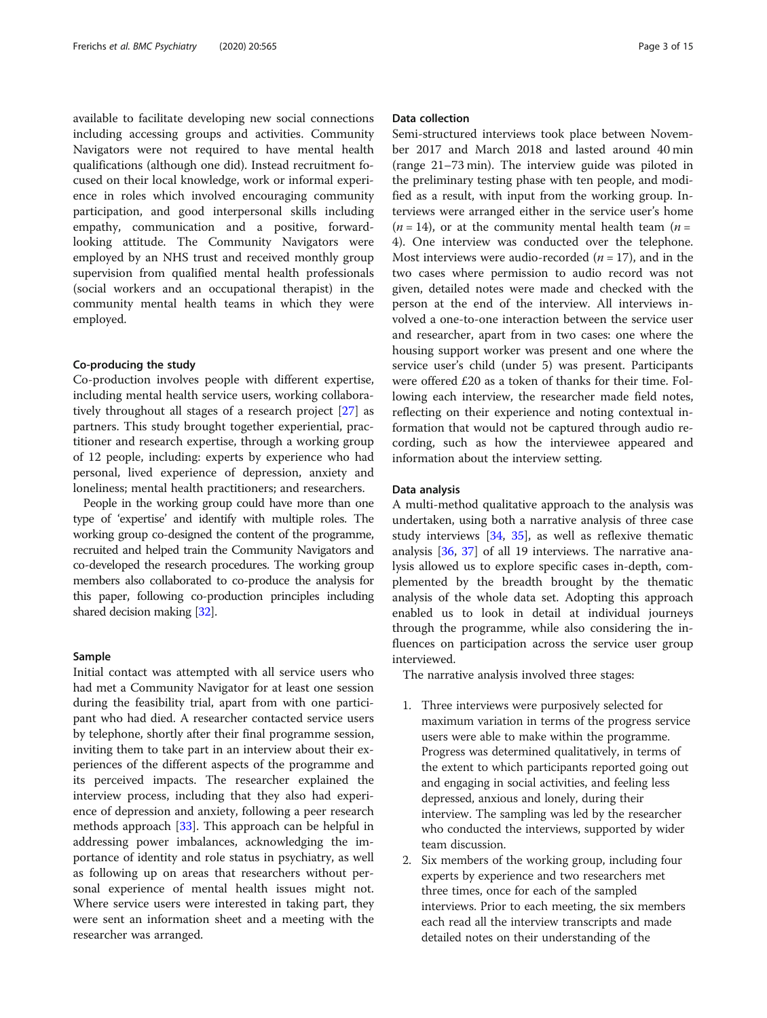available to facilitate developing new social connections including accessing groups and activities. Community Navigators were not required to have mental health qualifications (although one did). Instead recruitment focused on their local knowledge, work or informal experience in roles which involved encouraging community participation, and good interpersonal skills including empathy, communication and a positive, forwardlooking attitude. The Community Navigators were employed by an NHS trust and received monthly group supervision from qualified mental health professionals (social workers and an occupational therapist) in the community mental health teams in which they were employed.

## Co-producing the study

Co-production involves people with different expertise, including mental health service users, working collaboratively throughout all stages of a research project [[27\]](#page-14-0) as partners. This study brought together experiential, practitioner and research expertise, through a working group of 12 people, including: experts by experience who had personal, lived experience of depression, anxiety and loneliness; mental health practitioners; and researchers.

People in the working group could have more than one type of 'expertise' and identify with multiple roles. The working group co-designed the content of the programme, recruited and helped train the Community Navigators and co-developed the research procedures. The working group members also collaborated to co-produce the analysis for this paper, following co-production principles including shared decision making [\[32\]](#page-14-0).

## Sample

Initial contact was attempted with all service users who had met a Community Navigator for at least one session during the feasibility trial, apart from with one participant who had died. A researcher contacted service users by telephone, shortly after their final programme session, inviting them to take part in an interview about their experiences of the different aspects of the programme and its perceived impacts. The researcher explained the interview process, including that they also had experience of depression and anxiety, following a peer research methods approach [\[33](#page-14-0)]. This approach can be helpful in addressing power imbalances, acknowledging the importance of identity and role status in psychiatry, as well as following up on areas that researchers without personal experience of mental health issues might not. Where service users were interested in taking part, they were sent an information sheet and a meeting with the researcher was arranged.

## Data collection

Semi-structured interviews took place between November 2017 and March 2018 and lasted around 40 min (range 21–73 min). The interview guide was piloted in the preliminary testing phase with ten people, and modified as a result, with input from the working group. Interviews were arranged either in the service user's home  $(n = 14)$ , or at the community mental health team  $(n = 14)$ 4). One interview was conducted over the telephone. Most interviews were audio-recorded  $(n = 17)$ , and in the two cases where permission to audio record was not given, detailed notes were made and checked with the person at the end of the interview. All interviews involved a one-to-one interaction between the service user and researcher, apart from in two cases: one where the housing support worker was present and one where the service user's child (under 5) was present. Participants were offered £20 as a token of thanks for their time. Following each interview, the researcher made field notes, reflecting on their experience and noting contextual information that would not be captured through audio recording, such as how the interviewee appeared and information about the interview setting.

## Data analysis

A multi-method qualitative approach to the analysis was undertaken, using both a narrative analysis of three case study interviews [[34](#page-14-0), [35](#page-14-0)], as well as reflexive thematic analysis [[36,](#page-14-0) [37](#page-14-0)] of all 19 interviews. The narrative analysis allowed us to explore specific cases in-depth, complemented by the breadth brought by the thematic analysis of the whole data set. Adopting this approach enabled us to look in detail at individual journeys through the programme, while also considering the influences on participation across the service user group interviewed.

The narrative analysis involved three stages:

- 1. Three interviews were purposively selected for maximum variation in terms of the progress service users were able to make within the programme. Progress was determined qualitatively, in terms of the extent to which participants reported going out and engaging in social activities, and feeling less depressed, anxious and lonely, during their interview. The sampling was led by the researcher who conducted the interviews, supported by wider team discussion.
- 2. Six members of the working group, including four experts by experience and two researchers met three times, once for each of the sampled interviews. Prior to each meeting, the six members each read all the interview transcripts and made detailed notes on their understanding of the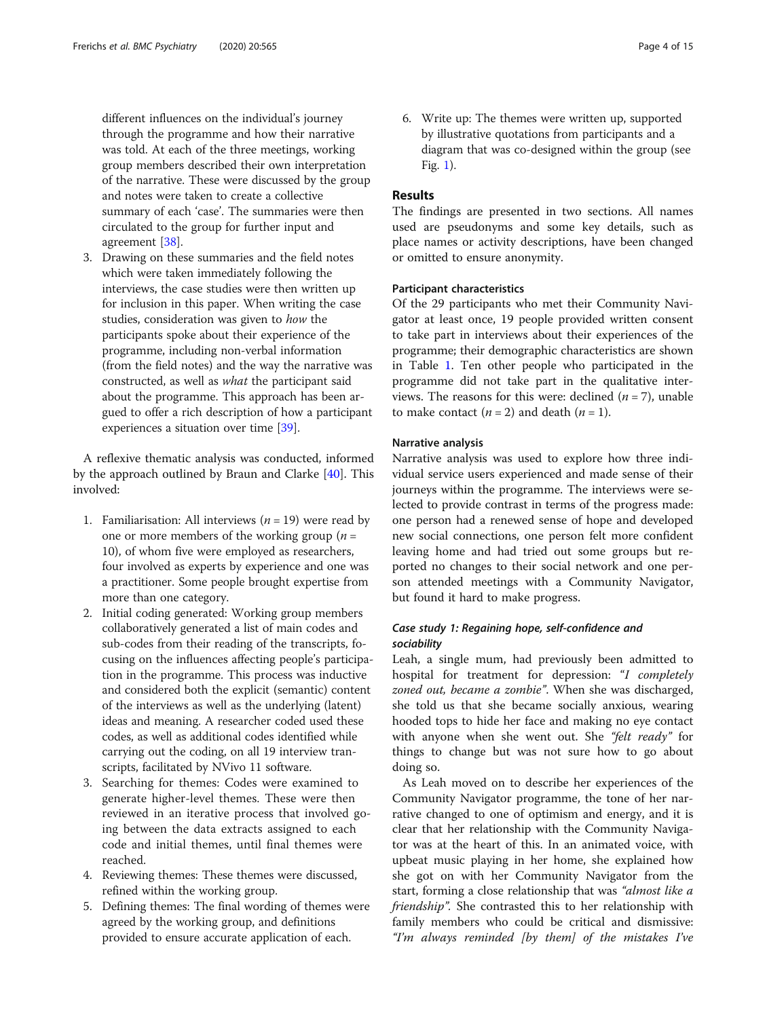different influences on the individual's journey through the programme and how their narrative was told. At each of the three meetings, working group members described their own interpretation of the narrative. These were discussed by the group and notes were taken to create a collective summary of each 'case'. The summaries were then circulated to the group for further input and agreement [\[38](#page-14-0)].

3. Drawing on these summaries and the field notes which were taken immediately following the interviews, the case studies were then written up for inclusion in this paper. When writing the case studies, consideration was given to how the participants spoke about their experience of the programme, including non-verbal information (from the field notes) and the way the narrative was constructed, as well as what the participant said about the programme. This approach has been argued to offer a rich description of how a participant experiences a situation over time [\[39\]](#page-14-0).

A reflexive thematic analysis was conducted, informed by the approach outlined by Braun and Clarke [\[40\]](#page-14-0). This involved:

- 1. Familiarisation: All interviews ( $n = 19$ ) were read by one or more members of the working group  $(n =$ 10), of whom five were employed as researchers, four involved as experts by experience and one was a practitioner. Some people brought expertise from more than one category.
- 2. Initial coding generated: Working group members collaboratively generated a list of main codes and sub-codes from their reading of the transcripts, focusing on the influences affecting people's participation in the programme. This process was inductive and considered both the explicit (semantic) content of the interviews as well as the underlying (latent) ideas and meaning. A researcher coded used these codes, as well as additional codes identified while carrying out the coding, on all 19 interview transcripts, facilitated by NVivo 11 software.
- 3. Searching for themes: Codes were examined to generate higher-level themes. These were then reviewed in an iterative process that involved going between the data extracts assigned to each code and initial themes, until final themes were reached.
- 4. Reviewing themes: These themes were discussed, refined within the working group.
- 5. Defining themes: The final wording of themes were agreed by the working group, and definitions provided to ensure accurate application of each.

6. Write up: The themes were written up, supported by illustrative quotations from participants and a diagram that was co-designed within the group (see Fig. [1](#page-6-0)).

## Results

The findings are presented in two sections. All names used are pseudonyms and some key details, such as place names or activity descriptions, have been changed or omitted to ensure anonymity.

## Participant characteristics

Of the 29 participants who met their Community Navigator at least once, 19 people provided written consent to take part in interviews about their experiences of the programme; their demographic characteristics are shown in Table [1](#page-4-0). Ten other people who participated in the programme did not take part in the qualitative interviews. The reasons for this were: declined  $(n = 7)$ , unable to make contact  $(n = 2)$  and death  $(n = 1)$ .

## Narrative analysis

Narrative analysis was used to explore how three individual service users experienced and made sense of their journeys within the programme. The interviews were selected to provide contrast in terms of the progress made: one person had a renewed sense of hope and developed new social connections, one person felt more confident leaving home and had tried out some groups but reported no changes to their social network and one person attended meetings with a Community Navigator, but found it hard to make progress.

## Case study 1: Regaining hope, self-confidence and sociability

Leah, a single mum, had previously been admitted to hospital for treatment for depression: "I completely zoned out, became a zombie". When she was discharged, she told us that she became socially anxious, wearing hooded tops to hide her face and making no eye contact with anyone when she went out. She "felt ready" for things to change but was not sure how to go about doing so.

As Leah moved on to describe her experiences of the Community Navigator programme, the tone of her narrative changed to one of optimism and energy, and it is clear that her relationship with the Community Navigator was at the heart of this. In an animated voice, with upbeat music playing in her home, she explained how she got on with her Community Navigator from the start, forming a close relationship that was "almost like a friendship". She contrasted this to her relationship with family members who could be critical and dismissive: "I'm always reminded [by them] of the mistakes I've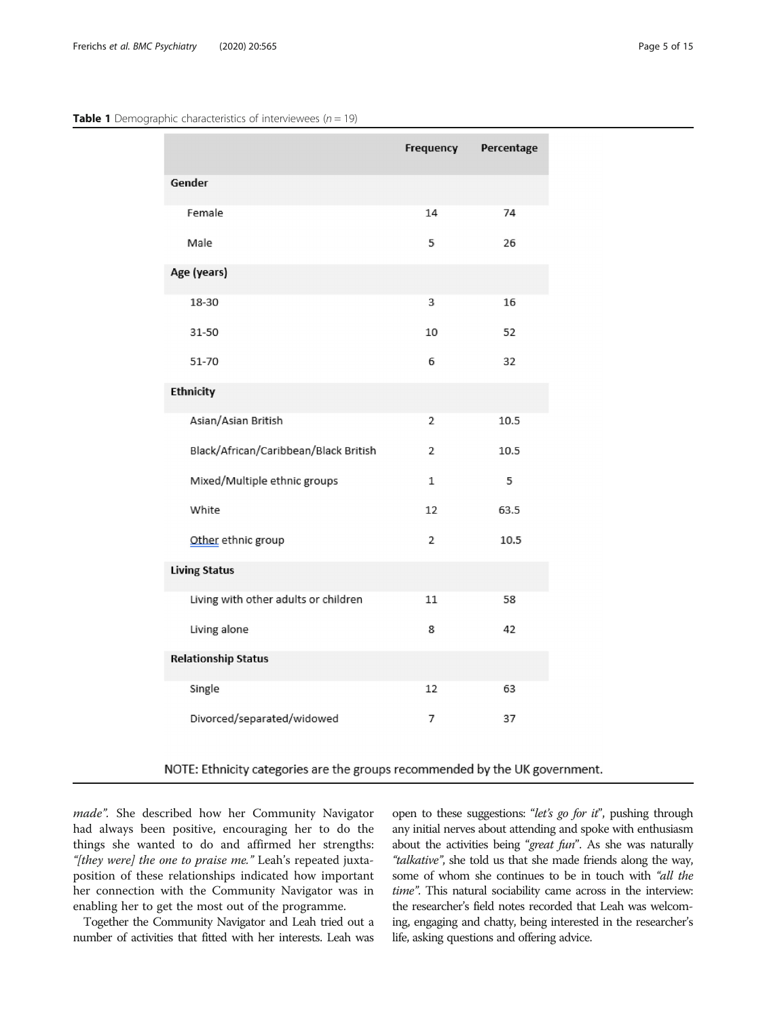<span id="page-4-0"></span>

|                                       | Frequency    | Percentage |
|---------------------------------------|--------------|------------|
| Gender                                |              |            |
| Female                                | 14           | 74         |
| Male                                  | 5            | 26         |
| Age (years)                           |              |            |
| 18-30                                 | 3            | 16         |
| 31-50                                 | 10           | 52         |
| 51-70                                 | 6            | 32         |
| <b>Ethnicity</b>                      |              |            |
| Asian/Asian British                   | 2            | 10.5       |
| Black/African/Caribbean/Black British | 2            | 10.5       |
| Mixed/Multiple ethnic groups          | $\mathbf{1}$ | 5          |
| White                                 | 12           | 63.5       |
| Other ethnic group                    | 2            | 10.5       |
| <b>Living Status</b>                  |              |            |
| Living with other adults or children  | 11           | 58         |
| Living alone                          | 8            | 42         |
| <b>Relationship Status</b>            |              |            |
| Single                                | 12           | 63         |
| Divorced/separated/widowed            | 7            | 37         |

NOTE: Ethnicity categories are the groups recommended by the UK government.

made". She described how her Community Navigator had always been positive, encouraging her to do the things she wanted to do and affirmed her strengths: "[they were] the one to praise me." Leah's repeated juxtaposition of these relationships indicated how important her connection with the Community Navigator was in enabling her to get the most out of the programme.

Together the Community Navigator and Leah tried out a number of activities that fitted with her interests. Leah was

open to these suggestions: "let's go for it", pushing through any initial nerves about attending and spoke with enthusiasm about the activities being "great fun". As she was naturally "talkative", she told us that she made friends along the way, some of whom she continues to be in touch with "all the time". This natural sociability came across in the interview: the researcher's field notes recorded that Leah was welcoming, engaging and chatty, being interested in the researcher's life, asking questions and offering advice.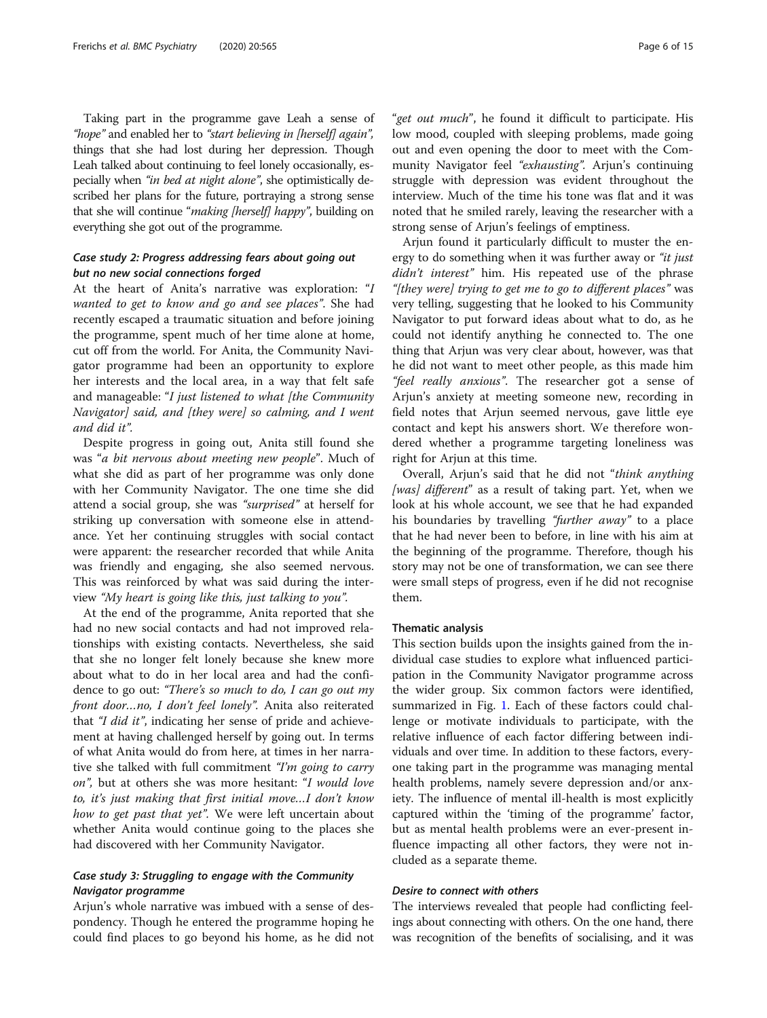Taking part in the programme gave Leah a sense of "hope" and enabled her to "start believing in [herself] again", things that she had lost during her depression. Though Leah talked about continuing to feel lonely occasionally, especially when "in bed at night alone", she optimistically described her plans for the future, portraying a strong sense that she will continue "making [herself] happy", building on everything she got out of the programme.

## Case study 2: Progress addressing fears about going out but no new social connections forged

At the heart of Anita's narrative was exploration: "I wanted to get to know and go and see places". She had recently escaped a traumatic situation and before joining the programme, spent much of her time alone at home, cut off from the world. For Anita, the Community Navigator programme had been an opportunity to explore her interests and the local area, in a way that felt safe and manageable: "I just listened to what [the Community] Navigator] said, and [they were] so calming, and I went and did it".

Despite progress in going out, Anita still found she was "a bit nervous about meeting new people". Much of what she did as part of her programme was only done with her Community Navigator. The one time she did attend a social group, she was "surprised" at herself for striking up conversation with someone else in attendance. Yet her continuing struggles with social contact were apparent: the researcher recorded that while Anita was friendly and engaging, she also seemed nervous. This was reinforced by what was said during the interview "My heart is going like this, just talking to you".

At the end of the programme, Anita reported that she had no new social contacts and had not improved relationships with existing contacts. Nevertheless, she said that she no longer felt lonely because she knew more about what to do in her local area and had the confidence to go out: "There's so much to do, I can go out my front door…no, I don't feel lonely". Anita also reiterated that "I did it", indicating her sense of pride and achievement at having challenged herself by going out. In terms of what Anita would do from here, at times in her narrative she talked with full commitment "I'm going to carry on", but at others she was more hesitant: "I would love to, it's just making that first initial move…I don't know how to get past that yet". We were left uncertain about whether Anita would continue going to the places she had discovered with her Community Navigator.

## Case study 3: Struggling to engage with the Community Navigator programme

Arjun's whole narrative was imbued with a sense of despondency. Though he entered the programme hoping he could find places to go beyond his home, as he did not

"get out much", he found it difficult to participate. His low mood, coupled with sleeping problems, made going out and even opening the door to meet with the Community Navigator feel "*exhausting*". Arjun's continuing struggle with depression was evident throughout the interview. Much of the time his tone was flat and it was noted that he smiled rarely, leaving the researcher with a strong sense of Arjun's feelings of emptiness.

Arjun found it particularly difficult to muster the energy to do something when it was further away or "it just didn't interest" him. His repeated use of the phrase "[they were] trying to get me to go to different places" was very telling, suggesting that he looked to his Community Navigator to put forward ideas about what to do, as he could not identify anything he connected to. The one thing that Arjun was very clear about, however, was that he did not want to meet other people, as this made him "feel really anxious". The researcher got a sense of Arjun's anxiety at meeting someone new, recording in field notes that Arjun seemed nervous, gave little eye contact and kept his answers short. We therefore wondered whether a programme targeting loneliness was right for Arjun at this time.

Overall, Arjun's said that he did not "think anything [was] different" as a result of taking part. Yet, when we look at his whole account, we see that he had expanded his boundaries by travelling "further away" to a place that he had never been to before, in line with his aim at the beginning of the programme. Therefore, though his story may not be one of transformation, we can see there were small steps of progress, even if he did not recognise them.

## Thematic analysis

This section builds upon the insights gained from the individual case studies to explore what influenced participation in the Community Navigator programme across the wider group. Six common factors were identified, summarized in Fig. [1.](#page-6-0) Each of these factors could challenge or motivate individuals to participate, with the relative influence of each factor differing between individuals and over time. In addition to these factors, everyone taking part in the programme was managing mental health problems, namely severe depression and/or anxiety. The influence of mental ill-health is most explicitly captured within the 'timing of the programme' factor, but as mental health problems were an ever-present influence impacting all other factors, they were not included as a separate theme.

## Desire to connect with others

The interviews revealed that people had conflicting feelings about connecting with others. On the one hand, there was recognition of the benefits of socialising, and it was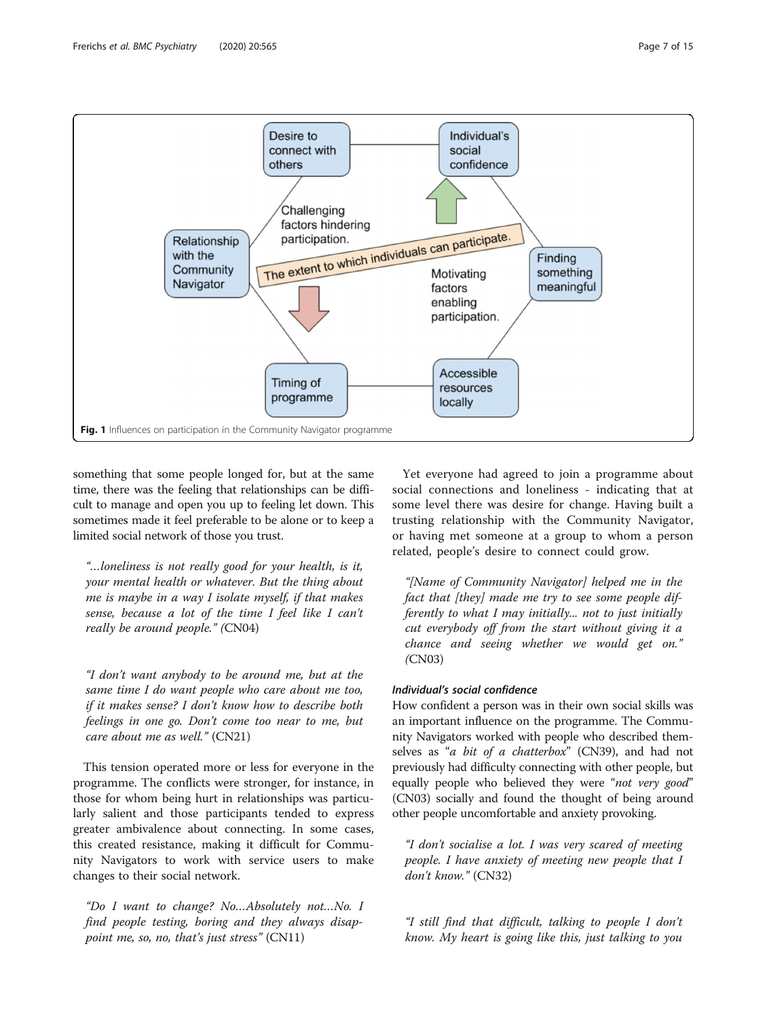<span id="page-6-0"></span>

something that some people longed for, but at the same time, there was the feeling that relationships can be difficult to manage and open you up to feeling let down. This sometimes made it feel preferable to be alone or to keep a limited social network of those you trust.

"…loneliness is not really good for your health, is it, your mental health or whatever. But the thing about me is maybe in a way I isolate myself, if that makes sense, because a lot of the time I feel like I can't really be around people." (CN04)

"I don't want anybody to be around me, but at the same time I do want people who care about me too, if it makes sense? I don't know how to describe both feelings in one go. Don't come too near to me, but care about me as well." (CN21)

This tension operated more or less for everyone in the programme. The conflicts were stronger, for instance, in those for whom being hurt in relationships was particularly salient and those participants tended to express greater ambivalence about connecting. In some cases, this created resistance, making it difficult for Community Navigators to work with service users to make changes to their social network.

"Do I want to change? No…Absolutely not…No. I find people testing, boring and they always disappoint me, so, no, that's just stress" (CN11)

Yet everyone had agreed to join a programme about social connections and loneliness - indicating that at some level there was desire for change. Having built a trusting relationship with the Community Navigator, or having met someone at a group to whom a person related, people's desire to connect could grow.

"[Name of Community Navigator] helped me in the fact that [they] made me try to see some people differently to what I may initially... not to just initially cut everybody off from the start without giving it a chance and seeing whether we would get on." (CN03)

## Individual's social confidence

How confident a person was in their own social skills was an important influence on the programme. The Community Navigators worked with people who described themselves as "a bit of a chatterbox" (CN39), and had not previously had difficulty connecting with other people, but equally people who believed they were "not very good" (CN03) socially and found the thought of being around other people uncomfortable and anxiety provoking.

"I don't socialise a lot. I was very scared of meeting people. I have anxiety of meeting new people that I don't know." (CN32)

"I still find that difficult, talking to people I don't know. My heart is going like this, just talking to you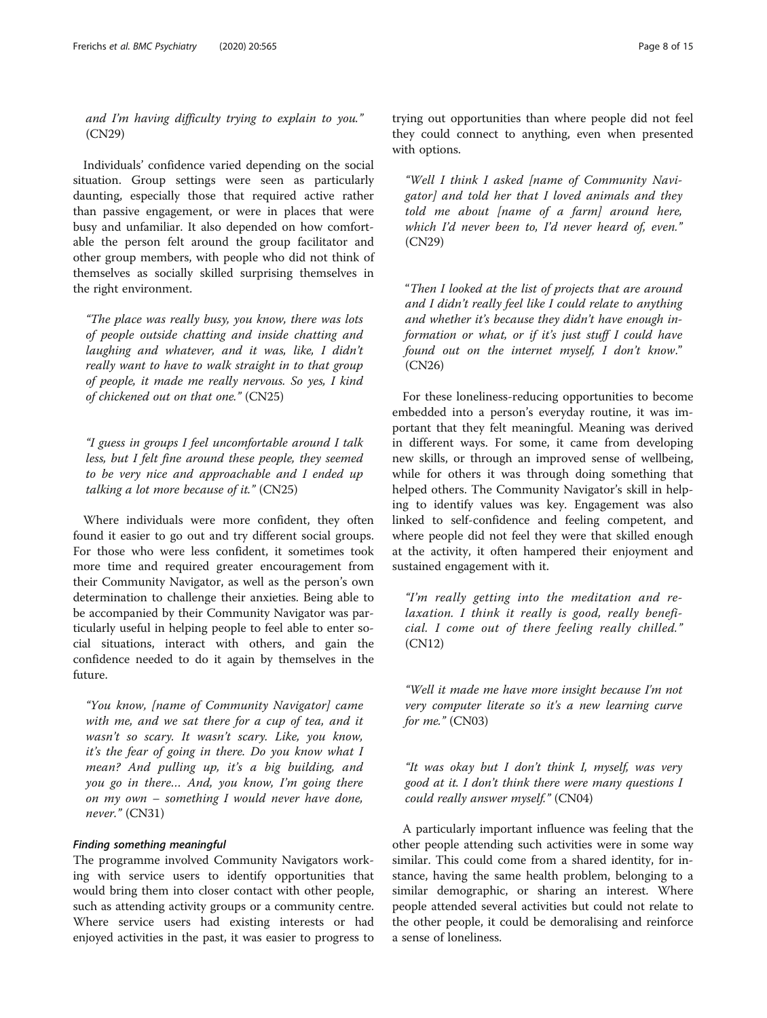and I'm having difficulty trying to explain to you." (CN29)

Individuals' confidence varied depending on the social situation. Group settings were seen as particularly daunting, especially those that required active rather than passive engagement, or were in places that were busy and unfamiliar. It also depended on how comfortable the person felt around the group facilitator and other group members, with people who did not think of themselves as socially skilled surprising themselves in the right environment.

"The place was really busy, you know, there was lots of people outside chatting and inside chatting and laughing and whatever, and it was, like, I didn't really want to have to walk straight in to that group of people, it made me really nervous. So yes, I kind of chickened out on that one." (CN25)

"I guess in groups I feel uncomfortable around I talk less, but I felt fine around these people, they seemed to be very nice and approachable and I ended up talking a lot more because of it." (CN25)

Where individuals were more confident, they often found it easier to go out and try different social groups. For those who were less confident, it sometimes took more time and required greater encouragement from their Community Navigator, as well as the person's own determination to challenge their anxieties. Being able to be accompanied by their Community Navigator was particularly useful in helping people to feel able to enter social situations, interact with others, and gain the confidence needed to do it again by themselves in the future.

"You know, [name of Community Navigator] came with me, and we sat there for a cup of tea, and it wasn't so scary. It wasn't scary. Like, you know, it's the fear of going in there. Do you know what I mean? And pulling up, it's a big building, and you go in there… And, you know, I'm going there on my own – something I would never have done, never." (CN31)

## Finding something meaningful

The programme involved Community Navigators working with service users to identify opportunities that would bring them into closer contact with other people, such as attending activity groups or a community centre. Where service users had existing interests or had enjoyed activities in the past, it was easier to progress to

trying out opportunities than where people did not feel they could connect to anything, even when presented with options.

"Well I think I asked [name of Community Navigator] and told her that I loved animals and they told me about [name of a farm] around here, which I'd never been to, I'd never heard of, even." (CN29)

"Then I looked at the list of projects that are around and I didn't really feel like I could relate to anything and whether it's because they didn't have enough information or what, or if it's just stuff I could have found out on the internet myself, I don't know." (CN26)

For these loneliness-reducing opportunities to become embedded into a person's everyday routine, it was important that they felt meaningful. Meaning was derived in different ways. For some, it came from developing new skills, or through an improved sense of wellbeing, while for others it was through doing something that helped others. The Community Navigator's skill in helping to identify values was key. Engagement was also linked to self-confidence and feeling competent, and where people did not feel they were that skilled enough at the activity, it often hampered their enjoyment and sustained engagement with it.

"I'm really getting into the meditation and relaxation. I think it really is good, really beneficial. I come out of there feeling really chilled." (CN12)

"Well it made me have more insight because I'm not very computer literate so it's a new learning curve for me." (CN03)

"It was okay but I don't think I, myself, was very good at it. I don't think there were many questions I could really answer myself." (CN04)

A particularly important influence was feeling that the other people attending such activities were in some way similar. This could come from a shared identity, for instance, having the same health problem, belonging to a similar demographic, or sharing an interest. Where people attended several activities but could not relate to the other people, it could be demoralising and reinforce a sense of loneliness.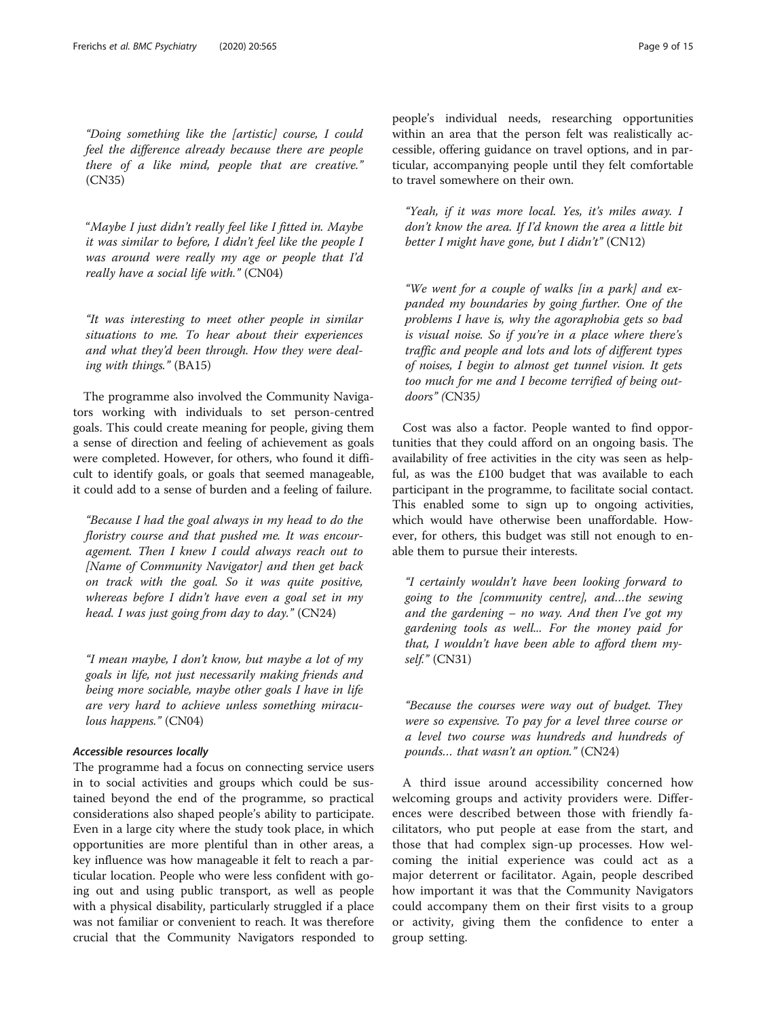"Doing something like the [artistic] course, I could feel the difference already because there are people there of a like mind, people that are creative." (CN35)

"Maybe I just didn't really feel like I fitted in. Maybe it was similar to before, I didn't feel like the people I was around were really my age or people that I'd really have a social life with." (CN04)

"It was interesting to meet other people in similar situations to me. To hear about their experiences and what they'd been through. How they were dealing with things." (BA15)

The programme also involved the Community Navigators working with individuals to set person-centred goals. This could create meaning for people, giving them a sense of direction and feeling of achievement as goals were completed. However, for others, who found it difficult to identify goals, or goals that seemed manageable, it could add to a sense of burden and a feeling of failure.

"Because I had the goal always in my head to do the floristry course and that pushed me. It was encouragement. Then I knew I could always reach out to [Name of Community Navigator] and then get back on track with the goal. So it was quite positive, whereas before I didn't have even a goal set in my head. I was just going from day to day." (CN24)

"I mean maybe, I don't know, but maybe a lot of my goals in life, not just necessarily making friends and being more sociable, maybe other goals I have in life are very hard to achieve unless something miraculous happens." (CN04)

## Accessible resources locally

The programme had a focus on connecting service users in to social activities and groups which could be sustained beyond the end of the programme, so practical considerations also shaped people's ability to participate. Even in a large city where the study took place, in which opportunities are more plentiful than in other areas, a key influence was how manageable it felt to reach a particular location. People who were less confident with going out and using public transport, as well as people with a physical disability, particularly struggled if a place was not familiar or convenient to reach. It was therefore crucial that the Community Navigators responded to people's individual needs, researching opportunities within an area that the person felt was realistically accessible, offering guidance on travel options, and in particular, accompanying people until they felt comfortable to travel somewhere on their own.

"Yeah, if it was more local. Yes, it's miles away. I don't know the area. If I'd known the area a little bit better I might have gone, but I didn't" (CN12)

"We went for a couple of walks [in a park] and expanded my boundaries by going further. One of the problems I have is, why the agoraphobia gets so bad is visual noise. So if you're in a place where there's traffic and people and lots and lots of different types of noises, I begin to almost get tunnel vision. It gets too much for me and I become terrified of being outdoors" (CN35)

Cost was also a factor. People wanted to find opportunities that they could afford on an ongoing basis. The availability of free activities in the city was seen as helpful, as was the £100 budget that was available to each participant in the programme, to facilitate social contact. This enabled some to sign up to ongoing activities, which would have otherwise been unaffordable. However, for others, this budget was still not enough to enable them to pursue their interests.

"I certainly wouldn't have been looking forward to going to the [community centre], and…the sewing and the gardening  $-$  no way. And then I've got my gardening tools as well... For the money paid for that, I wouldn't have been able to afford them myself." (CN31)

"Because the courses were way out of budget. They were so expensive. To pay for a level three course or a level two course was hundreds and hundreds of pounds… that wasn't an option." (CN24)

A third issue around accessibility concerned how welcoming groups and activity providers were. Differences were described between those with friendly facilitators, who put people at ease from the start, and those that had complex sign-up processes. How welcoming the initial experience was could act as a major deterrent or facilitator. Again, people described how important it was that the Community Navigators could accompany them on their first visits to a group or activity, giving them the confidence to enter a group setting.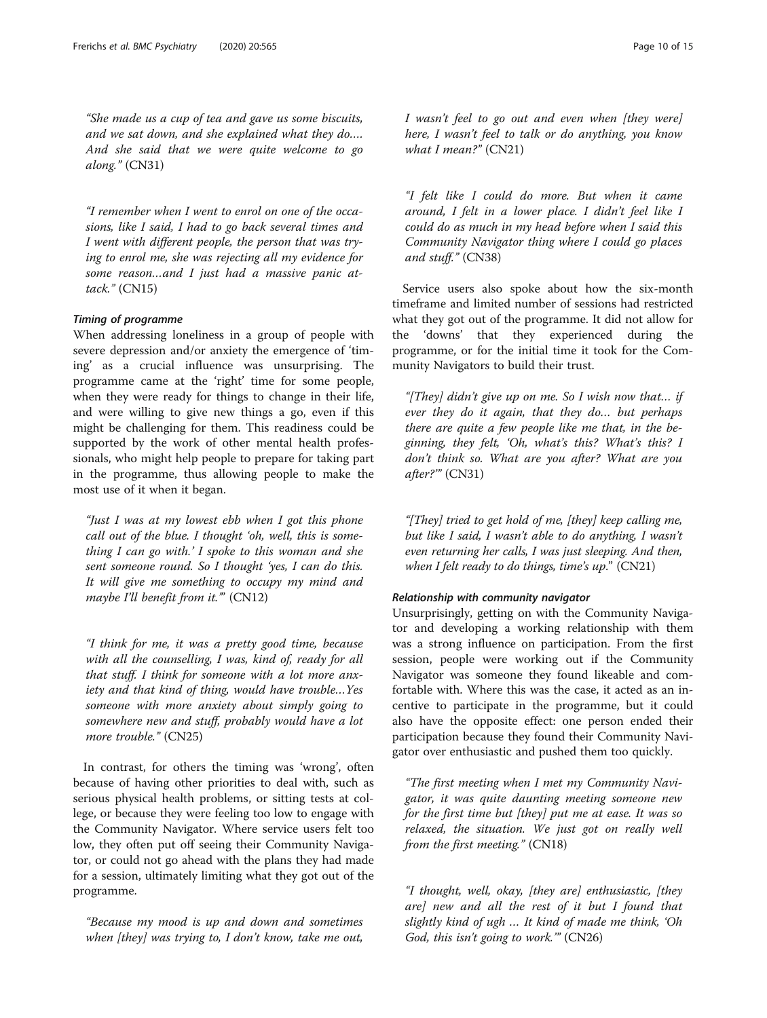"She made us a cup of tea and gave us some biscuits, and we sat down, and she explained what they do…. And she said that we were quite welcome to go along." (CN31)

"I remember when I went to enrol on one of the occasions, like I said, I had to go back several times and I went with different people, the person that was trying to enrol me, she was rejecting all my evidence for some reason…and I just had a massive panic attack." (CN15)

## Timing of programme

When addressing loneliness in a group of people with severe depression and/or anxiety the emergence of 'timing' as a crucial influence was unsurprising. The programme came at the 'right' time for some people, when they were ready for things to change in their life, and were willing to give new things a go, even if this might be challenging for them. This readiness could be supported by the work of other mental health professionals, who might help people to prepare for taking part in the programme, thus allowing people to make the most use of it when it began.

"Just I was at my lowest ebb when I got this phone call out of the blue. I thought 'oh, well, this is something I can go with.' I spoke to this woman and she sent someone round. So I thought 'yes, I can do this. It will give me something to occupy my mind and maybe I'll benefit from it."  $(CN12)$ 

"I think for me, it was a pretty good time, because with all the counselling, I was, kind of, ready for all that stuff. I think for someone with a lot more anxiety and that kind of thing, would have trouble…Yes someone with more anxiety about simply going to somewhere new and stuff, probably would have a lot more trouble." (CN25)

In contrast, for others the timing was 'wrong', often because of having other priorities to deal with, such as serious physical health problems, or sitting tests at college, or because they were feeling too low to engage with the Community Navigator. Where service users felt too low, they often put off seeing their Community Navigator, or could not go ahead with the plans they had made for a session, ultimately limiting what they got out of the programme.

"Because my mood is up and down and sometimes when [they] was trying to, I don't know, take me out,

I wasn't feel to go out and even when [they were] here, I wasn't feel to talk or do anything, you know

"I felt like I could do more. But when it came around, I felt in a lower place. I didn't feel like I could do as much in my head before when I said this Community Navigator thing where I could go places and stuff." (CN38)

what I mean?" (CN21)

Service users also spoke about how the six-month timeframe and limited number of sessions had restricted what they got out of the programme. It did not allow for the 'downs' that they experienced during the programme, or for the initial time it took for the Community Navigators to build their trust.

"[They] didn't give up on me. So I wish now that… if ever they do it again, that they do… but perhaps there are quite a few people like me that, in the beginning, they felt, 'Oh, what's this? What's this? I don't think so. What are you after? What are you after?'" (CN31)

"[They] tried to get hold of me, [they] keep calling me, but like I said, I wasn't able to do anything, I wasn't even returning her calls, I was just sleeping. And then, when I felt ready to do things, time's up." (CN21)

## Relationship with community navigator

Unsurprisingly, getting on with the Community Navigator and developing a working relationship with them was a strong influence on participation. From the first session, people were working out if the Community Navigator was someone they found likeable and comfortable with. Where this was the case, it acted as an incentive to participate in the programme, but it could also have the opposite effect: one person ended their participation because they found their Community Navigator over enthusiastic and pushed them too quickly.

"The first meeting when I met my Community Navigator, it was quite daunting meeting someone new for the first time but [they] put me at ease. It was so relaxed, the situation. We just got on really well from the first meeting." (CN18)

"I thought, well, okay, [they are] enthusiastic, [they are] new and all the rest of it but I found that slightly kind of ugh … It kind of made me think, 'Oh God, this isn't going to work.'" (CN26)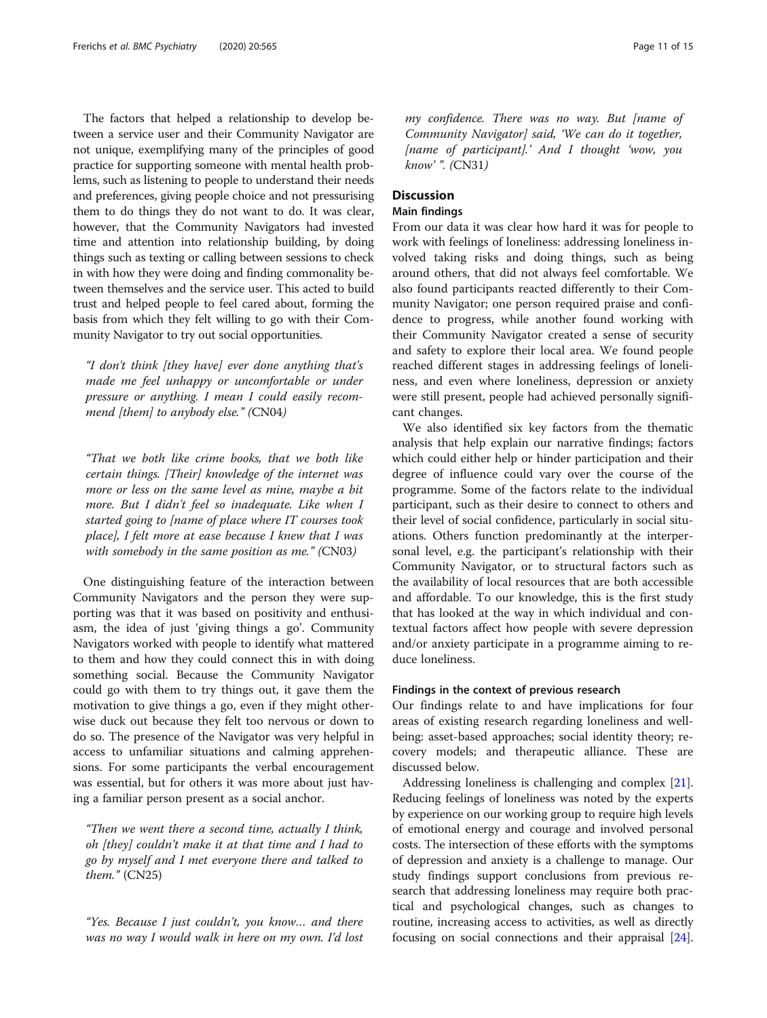The factors that helped a relationship to develop between a service user and their Community Navigator are not unique, exemplifying many of the principles of good practice for supporting someone with mental health problems, such as listening to people to understand their needs and preferences, giving people choice and not pressurising them to do things they do not want to do. It was clear, however, that the Community Navigators had invested time and attention into relationship building, by doing things such as texting or calling between sessions to check in with how they were doing and finding commonality between themselves and the service user. This acted to build trust and helped people to feel cared about, forming the basis from which they felt willing to go with their Community Navigator to try out social opportunities.

"I don't think [they have] ever done anything that's made me feel unhappy or uncomfortable or under pressure or anything. I mean I could easily recommend [them] to anybody else." (CN04)

"That we both like crime books, that we both like certain things. [Their] knowledge of the internet was more or less on the same level as mine, maybe a bit more. But I didn't feel so inadequate. Like when I started going to [name of place where IT courses took place], I felt more at ease because I knew that I was with somebody in the same position as me." (CN03)

One distinguishing feature of the interaction between Community Navigators and the person they were supporting was that it was based on positivity and enthusiasm, the idea of just 'giving things a go'. Community Navigators worked with people to identify what mattered to them and how they could connect this in with doing something social. Because the Community Navigator could go with them to try things out, it gave them the motivation to give things a go, even if they might otherwise duck out because they felt too nervous or down to do so. The presence of the Navigator was very helpful in access to unfamiliar situations and calming apprehensions. For some participants the verbal encouragement was essential, but for others it was more about just having a familiar person present as a social anchor.

"Then we went there a second time, actually I think, oh [they] couldn't make it at that time and I had to go by myself and I met everyone there and talked to them." (CN25)

"Yes. Because I just couldn't, you know… and there was no way I would walk in here on my own. I'd lost

my confidence. There was no way. But [name of Community Navigator] said, 'We can do it together, [name of participant].' And I thought 'wow, you know' ". (CN31)

## **Discussion**

## Main findings

From our data it was clear how hard it was for people to work with feelings of loneliness: addressing loneliness involved taking risks and doing things, such as being around others, that did not always feel comfortable. We also found participants reacted differently to their Community Navigator; one person required praise and confidence to progress, while another found working with their Community Navigator created a sense of security and safety to explore their local area. We found people reached different stages in addressing feelings of loneliness, and even where loneliness, depression or anxiety were still present, people had achieved personally significant changes.

We also identified six key factors from the thematic analysis that help explain our narrative findings; factors which could either help or hinder participation and their degree of influence could vary over the course of the programme. Some of the factors relate to the individual participant, such as their desire to connect to others and their level of social confidence, particularly in social situations. Others function predominantly at the interpersonal level, e.g. the participant's relationship with their Community Navigator, or to structural factors such as the availability of local resources that are both accessible and affordable. To our knowledge, this is the first study that has looked at the way in which individual and contextual factors affect how people with severe depression and/or anxiety participate in a programme aiming to reduce loneliness.

## Findings in the context of previous research

Our findings relate to and have implications for four areas of existing research regarding loneliness and wellbeing: asset-based approaches; social identity theory; recovery models; and therapeutic alliance. These are discussed below.

Addressing loneliness is challenging and complex [[21](#page-13-0)]. Reducing feelings of loneliness was noted by the experts by experience on our working group to require high levels of emotional energy and courage and involved personal costs. The intersection of these efforts with the symptoms of depression and anxiety is a challenge to manage. Our study findings support conclusions from previous research that addressing loneliness may require both practical and psychological changes, such as changes to routine, increasing access to activities, as well as directly focusing on social connections and their appraisal [[24](#page-13-0)].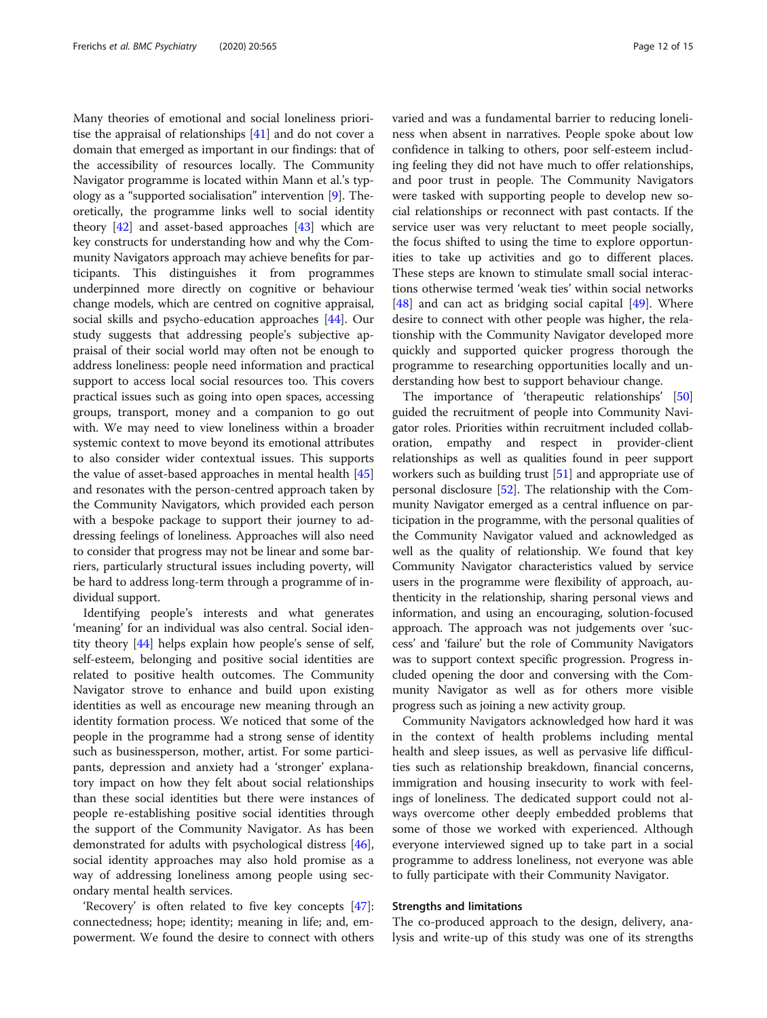Many theories of emotional and social loneliness prioritise the appraisal of relationships [\[41\]](#page-14-0) and do not cover a domain that emerged as important in our findings: that of the accessibility of resources locally. The Community Navigator programme is located within Mann et al.'s typology as a "supported socialisation" intervention [[9\]](#page-13-0). Theoretically, the programme links well to social identity theory [\[42](#page-14-0)] and asset-based approaches [\[43](#page-14-0)] which are key constructs for understanding how and why the Community Navigators approach may achieve benefits for participants. This distinguishes it from programmes underpinned more directly on cognitive or behaviour change models, which are centred on cognitive appraisal, social skills and psycho-education approaches [[44](#page-14-0)]. Our study suggests that addressing people's subjective appraisal of their social world may often not be enough to address loneliness: people need information and practical support to access local social resources too. This covers practical issues such as going into open spaces, accessing groups, transport, money and a companion to go out with. We may need to view loneliness within a broader systemic context to move beyond its emotional attributes to also consider wider contextual issues. This supports the value of asset-based approaches in mental health [[45](#page-14-0)] and resonates with the person-centred approach taken by the Community Navigators, which provided each person with a bespoke package to support their journey to addressing feelings of loneliness. Approaches will also need to consider that progress may not be linear and some barriers, particularly structural issues including poverty, will be hard to address long-term through a programme of individual support.

Identifying people's interests and what generates 'meaning' for an individual was also central. Social identity theory [\[44](#page-14-0)] helps explain how people's sense of self, self-esteem, belonging and positive social identities are related to positive health outcomes. The Community Navigator strove to enhance and build upon existing identities as well as encourage new meaning through an identity formation process. We noticed that some of the people in the programme had a strong sense of identity such as businessperson, mother, artist. For some participants, depression and anxiety had a 'stronger' explanatory impact on how they felt about social relationships than these social identities but there were instances of people re-establishing positive social identities through the support of the Community Navigator. As has been demonstrated for adults with psychological distress [\[46](#page-14-0)], social identity approaches may also hold promise as a way of addressing loneliness among people using secondary mental health services.

'Recovery' is often related to five key concepts [\[47](#page-14-0)]: connectedness; hope; identity; meaning in life; and, empowerment. We found the desire to connect with others varied and was a fundamental barrier to reducing loneliness when absent in narratives. People spoke about low confidence in talking to others, poor self-esteem including feeling they did not have much to offer relationships, and poor trust in people. The Community Navigators were tasked with supporting people to develop new social relationships or reconnect with past contacts. If the service user was very reluctant to meet people socially, the focus shifted to using the time to explore opportunities to take up activities and go to different places. These steps are known to stimulate small social interactions otherwise termed 'weak ties' within social networks  $[48]$  $[48]$  and can act as bridging social capital  $[49]$  $[49]$ . Where desire to connect with other people was higher, the relationship with the Community Navigator developed more quickly and supported quicker progress thorough the programme to researching opportunities locally and understanding how best to support behaviour change.

The importance of 'therapeutic relationships' [[50](#page-14-0)] guided the recruitment of people into Community Navigator roles. Priorities within recruitment included collaboration, empathy and respect in provider-client relationships as well as qualities found in peer support workers such as building trust [\[51\]](#page-14-0) and appropriate use of personal disclosure [\[52\]](#page-14-0). The relationship with the Community Navigator emerged as a central influence on participation in the programme, with the personal qualities of the Community Navigator valued and acknowledged as well as the quality of relationship. We found that key Community Navigator characteristics valued by service users in the programme were flexibility of approach, authenticity in the relationship, sharing personal views and information, and using an encouraging, solution-focused approach. The approach was not judgements over 'success' and 'failure' but the role of Community Navigators was to support context specific progression. Progress included opening the door and conversing with the Community Navigator as well as for others more visible progress such as joining a new activity group.

Community Navigators acknowledged how hard it was in the context of health problems including mental health and sleep issues, as well as pervasive life difficulties such as relationship breakdown, financial concerns, immigration and housing insecurity to work with feelings of loneliness. The dedicated support could not always overcome other deeply embedded problems that some of those we worked with experienced. Although everyone interviewed signed up to take part in a social programme to address loneliness, not everyone was able to fully participate with their Community Navigator.

## Strengths and limitations

The co-produced approach to the design, delivery, analysis and write-up of this study was one of its strengths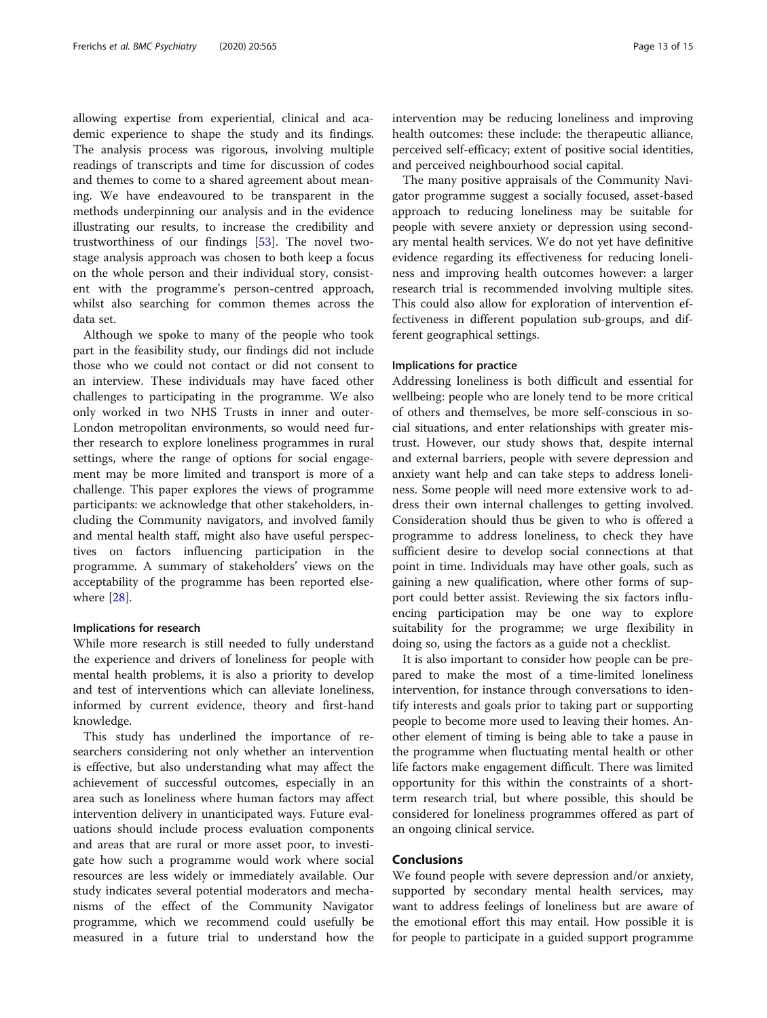allowing expertise from experiential, clinical and academic experience to shape the study and its findings. The analysis process was rigorous, involving multiple readings of transcripts and time for discussion of codes and themes to come to a shared agreement about meaning. We have endeavoured to be transparent in the methods underpinning our analysis and in the evidence illustrating our results, to increase the credibility and trustworthiness of our findings [[53\]](#page-14-0). The novel twostage analysis approach was chosen to both keep a focus on the whole person and their individual story, consistent with the programme's person-centred approach, whilst also searching for common themes across the data set.

Although we spoke to many of the people who took part in the feasibility study, our findings did not include those who we could not contact or did not consent to an interview. These individuals may have faced other challenges to participating in the programme. We also only worked in two NHS Trusts in inner and outer-London metropolitan environments, so would need further research to explore loneliness programmes in rural settings, where the range of options for social engagement may be more limited and transport is more of a challenge. This paper explores the views of programme participants: we acknowledge that other stakeholders, including the Community navigators, and involved family and mental health staff, might also have useful perspectives on factors influencing participation in the programme. A summary of stakeholders' views on the acceptability of the programme has been reported elsewhere [\[28](#page-14-0)].

## Implications for research

While more research is still needed to fully understand the experience and drivers of loneliness for people with mental health problems, it is also a priority to develop and test of interventions which can alleviate loneliness, informed by current evidence, theory and first-hand knowledge.

This study has underlined the importance of researchers considering not only whether an intervention is effective, but also understanding what may affect the achievement of successful outcomes, especially in an area such as loneliness where human factors may affect intervention delivery in unanticipated ways. Future evaluations should include process evaluation components and areas that are rural or more asset poor, to investigate how such a programme would work where social resources are less widely or immediately available. Our study indicates several potential moderators and mechanisms of the effect of the Community Navigator programme, which we recommend could usefully be measured in a future trial to understand how the intervention may be reducing loneliness and improving health outcomes: these include: the therapeutic alliance, perceived self-efficacy; extent of positive social identities, and perceived neighbourhood social capital.

The many positive appraisals of the Community Navigator programme suggest a socially focused, asset-based approach to reducing loneliness may be suitable for people with severe anxiety or depression using secondary mental health services. We do not yet have definitive evidence regarding its effectiveness for reducing loneliness and improving health outcomes however: a larger research trial is recommended involving multiple sites. This could also allow for exploration of intervention effectiveness in different population sub-groups, and different geographical settings.

## Implications for practice

Addressing loneliness is both difficult and essential for wellbeing: people who are lonely tend to be more critical of others and themselves, be more self-conscious in social situations, and enter relationships with greater mistrust. However, our study shows that, despite internal and external barriers, people with severe depression and anxiety want help and can take steps to address loneliness. Some people will need more extensive work to address their own internal challenges to getting involved. Consideration should thus be given to who is offered a programme to address loneliness, to check they have sufficient desire to develop social connections at that point in time. Individuals may have other goals, such as gaining a new qualification, where other forms of support could better assist. Reviewing the six factors influencing participation may be one way to explore suitability for the programme; we urge flexibility in doing so, using the factors as a guide not a checklist.

It is also important to consider how people can be prepared to make the most of a time-limited loneliness intervention, for instance through conversations to identify interests and goals prior to taking part or supporting people to become more used to leaving their homes. Another element of timing is being able to take a pause in the programme when fluctuating mental health or other life factors make engagement difficult. There was limited opportunity for this within the constraints of a shortterm research trial, but where possible, this should be considered for loneliness programmes offered as part of an ongoing clinical service.

## Conclusions

We found people with severe depression and/or anxiety, supported by secondary mental health services, may want to address feelings of loneliness but are aware of the emotional effort this may entail. How possible it is for people to participate in a guided support programme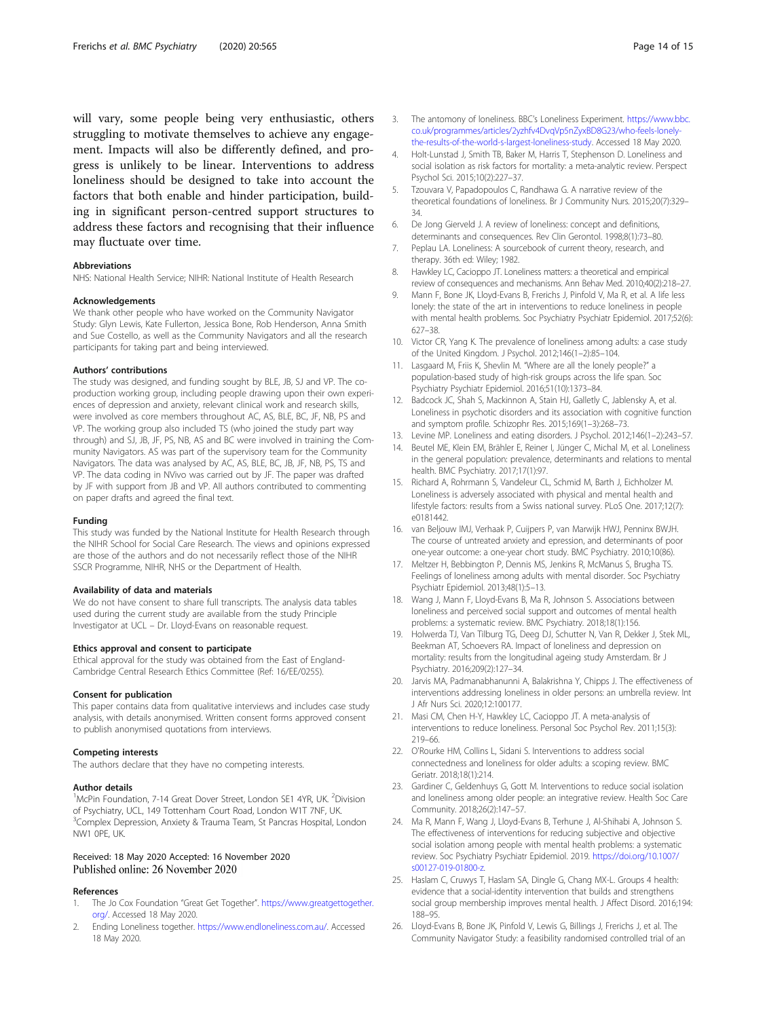<span id="page-13-0"></span>will vary, some people being very enthusiastic, others struggling to motivate themselves to achieve any engagement. Impacts will also be differently defined, and progress is unlikely to be linear. Interventions to address loneliness should be designed to take into account the factors that both enable and hinder participation, building in significant person-centred support structures to address these factors and recognising that their influence may fluctuate over time.

#### **Abbreviations**

NHS: National Health Service; NIHR: National Institute of Health Research

#### Acknowledgements

We thank other people who have worked on the Community Navigator Study: Glyn Lewis, Kate Fullerton, Jessica Bone, Rob Henderson, Anna Smith and Sue Costello, as well as the Community Navigators and all the research participants for taking part and being interviewed.

## Authors' contributions

The study was designed, and funding sought by BLE, JB, SJ and VP. The coproduction working group, including people drawing upon their own experiences of depression and anxiety, relevant clinical work and research skills, were involved as core members throughout AC, AS, BLE, BC, JF, NB, PS and VP. The working group also included TS (who joined the study part way through) and SJ, JB, JF, PS, NB, AS and BC were involved in training the Community Navigators. AS was part of the supervisory team for the Community Navigators. The data was analysed by AC, AS, BLE, BC, JB, JF, NB, PS, TS and VP. The data coding in NVivo was carried out by JF. The paper was drafted by JF with support from JB and VP. All authors contributed to commenting on paper drafts and agreed the final text.

#### Funding

This study was funded by the National Institute for Health Research through the NIHR School for Social Care Research. The views and opinions expressed are those of the authors and do not necessarily reflect those of the NIHR SSCR Programme, NIHR, NHS or the Department of Health.

#### Availability of data and materials

We do not have consent to share full transcripts. The analysis data tables used during the current study are available from the study Principle Investigator at UCL – Dr. Lloyd-Evans on reasonable request.

#### Ethics approval and consent to participate

Ethical approval for the study was obtained from the East of England-Cambridge Central Research Ethics Committee (Ref: 16/EE/0255).

#### Consent for publication

This paper contains data from qualitative interviews and includes case study analysis, with details anonymised. Written consent forms approved consent to publish anonymised quotations from interviews.

#### Competing interests

The authors declare that they have no competing interests.

#### Author details

<sup>1</sup>McPin Foundation, 7-14 Great Dover Street, London SE1 4YR, UK. <sup>2</sup>Division of Psychiatry, UCL, 149 Tottenham Court Road, London W1T 7NF, UK. <sup>3</sup>Complex Depression, Anxiety & Trauma Team, St Pancras Hospital, London NW1 0PE, UK.

## Received: 18 May 2020 Accepted: 16 November 2020 Published online: 26 November 2020

#### References

- 1. The Jo Cox Foundation "Great Get Together". [https://www.greatgettogether.](https://www.greatgettogether.org/) [org/.](https://www.greatgettogether.org/) Accessed 18 May 2020.
- 2. Ending Loneliness together. [https://www.endloneliness.com.au/.](https://www.endloneliness.com.au/) Accessed 18 May 2020.
- 3. The antomony of loneliness. BBC's Loneliness Experiment. [https://www.bbc.](https://www.bbc.co.uk/programmes/articles/2yzhfv4DvqVp5nZyxBD8G23/who-feels-lonely-the-results-of-the-world-s-largest-loneliness-study) [co.uk/programmes/articles/2yzhfv4DvqVp5nZyxBD8G23/who-feels-lonely](https://www.bbc.co.uk/programmes/articles/2yzhfv4DvqVp5nZyxBD8G23/who-feels-lonely-the-results-of-the-world-s-largest-loneliness-study)[the-results-of-the-world-s-largest-loneliness-study.](https://www.bbc.co.uk/programmes/articles/2yzhfv4DvqVp5nZyxBD8G23/who-feels-lonely-the-results-of-the-world-s-largest-loneliness-study) Accessed 18 May 2020.
- 4. Holt-Lunstad J, Smith TB, Baker M, Harris T, Stephenson D. Loneliness and social isolation as risk factors for mortality: a meta-analytic review. Perspect Psychol Sci. 2015;10(2):227–37.
- 5. Tzouvara V, Papadopoulos C, Randhawa G. A narrative review of the theoretical foundations of loneliness. Br J Community Nurs. 2015;20(7):329– 34.
- 6. De Jong Gierveld J. A review of loneliness: concept and definitions, determinants and consequences. Rev Clin Gerontol. 1998;8(1):73–80.
- 7. Peplau LA. Loneliness: A sourcebook of current theory, research, and therapy. 36th ed: Wiley; 1982.
- 8. Hawkley LC, Cacioppo JT. Loneliness matters: a theoretical and empirical review of consequences and mechanisms. Ann Behav Med. 2010;40(2):218–27.
- 9. Mann F, Bone JK, Lloyd-Evans B, Frerichs J, Pinfold V, Ma R, et al. A life less lonely: the state of the art in interventions to reduce loneliness in people with mental health problems. Soc Psychiatry Psychiatr Epidemiol. 2017;52(6): 627–38.
- 10. Victor CR, Yang K. The prevalence of loneliness among adults: a case study of the United Kingdom. J Psychol. 2012;146(1–2):85–104.
- 11. Lasgaard M, Friis K, Shevlin M. "Where are all the lonely people?" a population-based study of high-risk groups across the life span. Soc Psychiatry Psychiatr Epidemiol. 2016;51(10):1373–84.
- 12. Badcock JC, Shah S, Mackinnon A, Stain HJ, Galletly C, Jablensky A, et al. Loneliness in psychotic disorders and its association with cognitive function and symptom profile. Schizophr Res. 2015;169(1–3):268–73.
- 13. Levine MP. Loneliness and eating disorders. J Psychol. 2012;146(1–2):243–57.
- Beutel ME, Klein EM, Brähler E, Reiner I, Jünger C, Michal M, et al. Loneliness in the general population: prevalence, determinants and relations to mental health. BMC Psychiatry. 2017;17(1):97.
- 15. Richard A, Rohrmann S, Vandeleur CL, Schmid M, Barth J, Eichholzer M. Loneliness is adversely associated with physical and mental health and lifestyle factors: results from a Swiss national survey. PLoS One. 2017;12(7): e0181442.
- 16. van Beljouw IMJ, Verhaak P, Cuijpers P, van Marwijk HWJ, Penninx BWJH. The course of untreated anxiety and epression, and determinants of poor one-year outcome: a one-year chort study. BMC Psychiatry. 2010;10(86).
- 17. Meltzer H, Bebbington P, Dennis MS, Jenkins R, McManus S, Brugha TS. Feelings of loneliness among adults with mental disorder. Soc Psychiatry Psychiatr Epidemiol. 2013;48(1):5–13.
- 18. Wang J, Mann F, Lloyd-Evans B, Ma R, Johnson S. Associations between loneliness and perceived social support and outcomes of mental health problems: a systematic review. BMC Psychiatry. 2018;18(1):156.
- 19. Holwerda TJ, Van Tilburg TG, Deeg DJ, Schutter N, Van R, Dekker J, Stek ML, Beekman AT, Schoevers RA. Impact of loneliness and depression on mortality: results from the longitudinal ageing study Amsterdam. Br J Psychiatry. 2016;209(2):127–34.
- 20. Jarvis MA, Padmanabhanunni A, Balakrishna Y, Chipps J. The effectiveness of interventions addressing loneliness in older persons: an umbrella review. Int J Afr Nurs Sci. 2020;12:100177.
- 21. Masi CM, Chen H-Y, Hawkley LC, Cacioppo JT. A meta-analysis of interventions to reduce loneliness. Personal Soc Psychol Rev. 2011;15(3): 219–66.
- 22. O'Rourke HM, Collins L, Sidani S. Interventions to address social connectedness and loneliness for older adults: a scoping review. BMC Geriatr. 2018;18(1):214.
- 23. Gardiner C, Geldenhuys G, Gott M. Interventions to reduce social isolation and loneliness among older people: an integrative review. Health Soc Care Community. 2018;26(2):147–57.
- 24. Ma R, Mann F, Wang J, Lloyd-Evans B, Terhune J, Al-Shihabi A, Johnson S. The effectiveness of interventions for reducing subjective and objective social isolation among people with mental health problems: a systematic review. Soc Psychiatry Psychiatr Epidemiol. 2019. [https://doi.org/10.1007/](https://doi.org/10.1007/s00127-019-01800-z) [s00127-019-01800-z.](https://doi.org/10.1007/s00127-019-01800-z)
- 25. Haslam C, Cruwys T, Haslam SA, Dingle G, Chang MX-L. Groups 4 health: evidence that a social-identity intervention that builds and strengthens social group membership improves mental health. J Affect Disord. 2016;194: 188–95.
- 26. Lloyd-Evans B, Bone JK, Pinfold V, Lewis G, Billings J, Frerichs J, et al. The Community Navigator Study: a feasibility randomised controlled trial of an